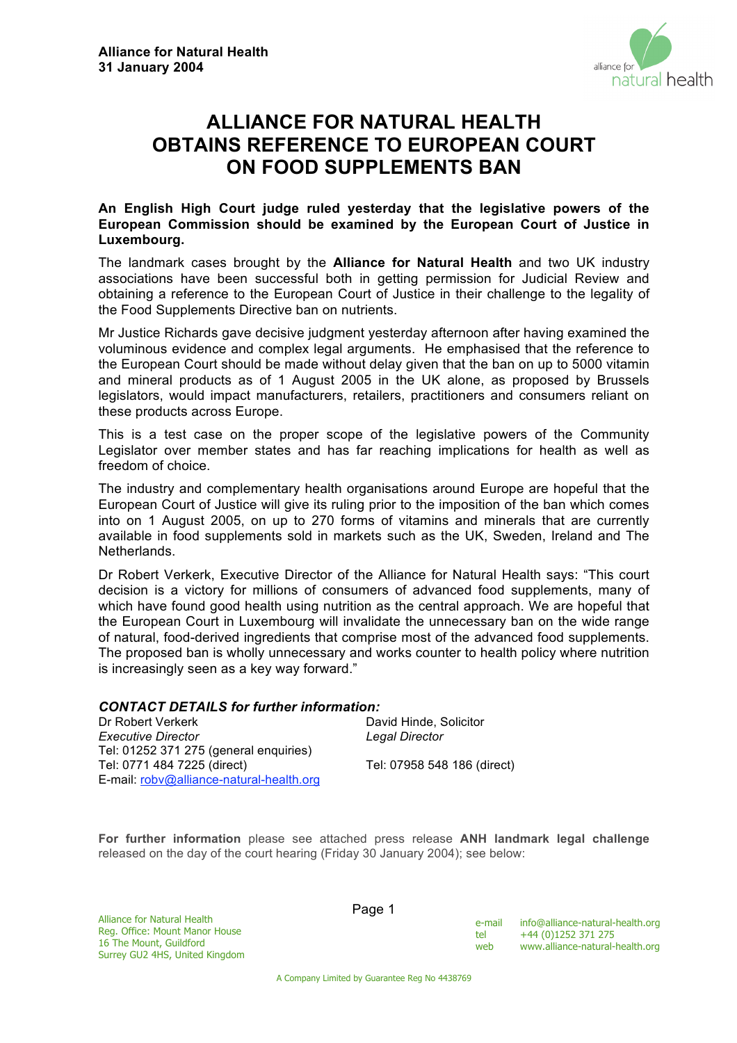

# **ALLIANCE FOR NATURAL HEALTH OBTAINS REFERENCE TO EUROPEAN COURT ON FOOD SUPPLEMENTS BAN**

# **An English High Court judge ruled yesterday that the legislative powers of the European Commission should be examined by the European Court of Justice in Luxembourg.**

The landmark cases brought by the **Alliance for Natural Health** and two UK industry associations have been successful both in getting permission for Judicial Review and obtaining a reference to the European Court of Justice in their challenge to the legality of the Food Supplements Directive ban on nutrients.

Mr Justice Richards gave decisive judgment yesterday afternoon after having examined the voluminous evidence and complex legal arguments. He emphasised that the reference to the European Court should be made without delay given that the ban on up to 5000 vitamin and mineral products as of 1 August 2005 in the UK alone, as proposed by Brussels legislators, would impact manufacturers, retailers, practitioners and consumers reliant on these products across Europe.

This is a test case on the proper scope of the legislative powers of the Community Legislator over member states and has far reaching implications for health as well as freedom of choice.

The industry and complementary health organisations around Europe are hopeful that the European Court of Justice will give its ruling prior to the imposition of the ban which comes into on 1 August 2005, on up to 270 forms of vitamins and minerals that are currently available in food supplements sold in markets such as the UK, Sweden, Ireland and The **Netherlands** 

Dr Robert Verkerk, Executive Director of the Alliance for Natural Health says: "This court decision is a victory for millions of consumers of advanced food supplements, many of which have found good health using nutrition as the central approach. We are hopeful that the European Court in Luxembourg will invalidate the unnecessary ban on the wide range of natural, food-derived ingredients that comprise most of the advanced food supplements. The proposed ban is wholly unnecessary and works counter to health policy where nutrition is increasingly seen as a key way forward."

## *CONTACT DETAILS for further information:*

| Dr Robert Verkerk                        | David Hinde, Solicitor      |
|------------------------------------------|-----------------------------|
| Executive Director                       | Legal Director              |
| Tel: 01252 371 275 (general enguiries)   |                             |
| Tel: 0771 484 7225 (direct)              | Tel: 07958 548 186 (direct) |
| E-mail: robv@alliance-natural-health.org |                             |

**For further information** please see attached press release **ANH landmark legal challenge**  released on the day of the court hearing (Friday 30 January 2004); see below:

Alliance for Natural Health Reg. Office: Mount Manor House 16 The Mount, Guildford Surrey GU2 4HS, United Kingdom Page 1

e-mail info@alliance-natural-health.org tel +44 (0)1252 371 275<br>web www.alliance-naturalwww.alliance-natural-health.org

A Company Limited by Guarantee Reg No 4438769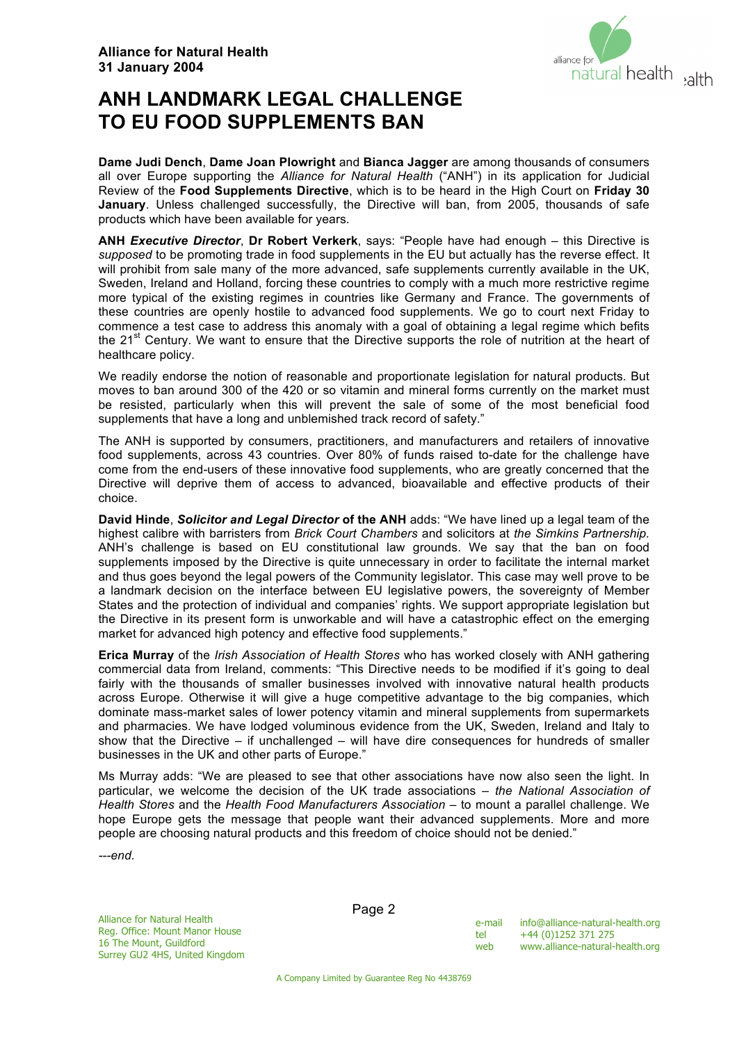

# **ANH LANDMARK LEGAL CHALLENGE TO EU FOOD SUPPLEMENTS BAN**

**Dame Judi Dench**, **Dame Joan Plowright** and **Bianca Jagger** are among thousands of consumers all over Europe supporting the *Alliance for Natural Health* ("ANH") in its application for Judicial Review of the **Food Supplements Directive**, which is to be heard in the High Court on **Friday 30 January**. Unless challenged successfully, the Directive will ban, from 2005, thousands of safe products which have been available for years.

**ANH** *Executive Director*, **Dr Robert Verkerk**, says: "People have had enough – this Directive is *supposed* to be promoting trade in food supplements in the EU but actually has the reverse effect. It will prohibit from sale many of the more advanced, safe supplements currently available in the UK, Sweden, Ireland and Holland, forcing these countries to comply with a much more restrictive regime more typical of the existing regimes in countries like Germany and France. The governments of these countries are openly hostile to advanced food supplements. We go to court next Friday to commence a test case to address this anomaly with a goal of obtaining a legal regime which befits the  $21<sup>st</sup>$  Century. We want to ensure that the Directive supports the role of nutrition at the heart of healthcare policy.

We readily endorse the notion of reasonable and proportionate legislation for natural products. But moves to ban around 300 of the 420 or so vitamin and mineral forms currently on the market must be resisted, particularly when this will prevent the sale of some of the most beneficial food supplements that have a long and unblemished track record of safety."

The ANH is supported by consumers, practitioners, and manufacturers and retailers of innovative food supplements, across 43 countries. Over 80% of funds raised to-date for the challenge have come from the end-users of these innovative food supplements, who are greatly concerned that the Directive will deprive them of access to advanced, bioavailable and effective products of their choice.

**David Hinde**, *Solicitor and Legal Director* **of the ANH** adds: "We have lined up a legal team of the highest calibre with barristers from *Brick Court Chambers* and solicitors at *the Simkins Partnership.* ANH's challenge is based on EU constitutional law grounds. We say that the ban on food supplements imposed by the Directive is quite unnecessary in order to facilitate the internal market and thus goes beyond the legal powers of the Community legislator. This case may well prove to be a landmark decision on the interface between EU legislative powers, the sovereignty of Member States and the protection of individual and companies' rights. We support appropriate legislation but the Directive in its present form is unworkable and will have a catastrophic effect on the emerging market for advanced high potency and effective food supplements."

**Erica Murray** of the *Irish Association of Health Stores* who has worked closely with ANH gathering commercial data from Ireland, comments: "This Directive needs to be modified if it's going to deal fairly with the thousands of smaller businesses involved with innovative natural health products across Europe. Otherwise it will give a huge competitive advantage to the big companies, which dominate mass-market sales of lower potency vitamin and mineral supplements from supermarkets and pharmacies. We have lodged voluminous evidence from the UK, Sweden, Ireland and Italy to show that the Directive – if unchallenged – will have dire consequences for hundreds of smaller businesses in the UK and other parts of Europe."

Ms Murray adds: "We are pleased to see that other associations have now also seen the light. In particular, we welcome the decision of the UK trade associations – *the National Association of Health Stores* and the *Health Food Manufacturers Association* – to mount a parallel challenge. We hope Europe gets the message that people want their advanced supplements. More and more people are choosing natural products and this freedom of choice should not be denied."

*---end.*

Alliance for Natural Health Reg. Office: Mount Manor House 16 The Mount, Guildford Surrey GU2 4HS, United Kingdom

| e-mail | info@alliance-natural-health.org |
|--------|----------------------------------|
| tel    | +44 (0)1252 371 275              |
| web    | www.alliance-natural-health.org  |

A Company Limited by Guarantee Reg No 4438769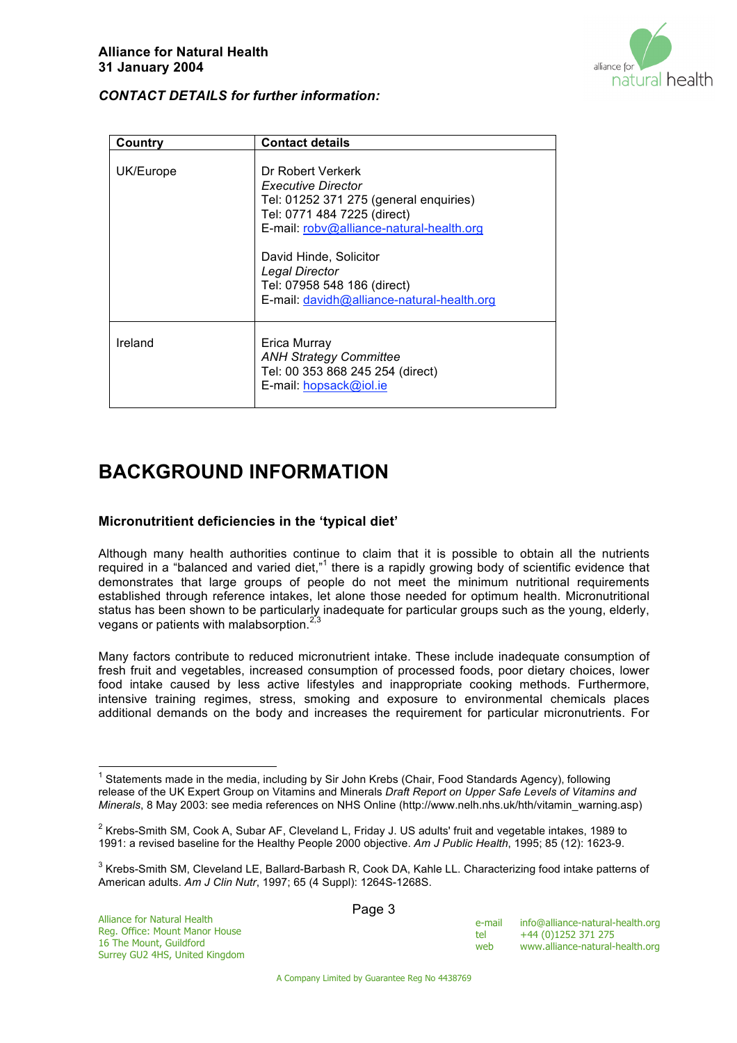

# *CONTACT DETAILS for further information:*

| Country   | <b>Contact details</b>                                                                                                                                                                                                                                                                |
|-----------|---------------------------------------------------------------------------------------------------------------------------------------------------------------------------------------------------------------------------------------------------------------------------------------|
| UK/Europe | Dr Robert Verkerk<br>Executive Director<br>Tel: 01252 371 275 (general enquiries)<br>Tel: 0771 484 7225 (direct)<br>E-mail: robv@alliance-natural-health.org<br>David Hinde, Solicitor<br>Legal Director<br>Tel: 07958 548 186 (direct)<br>E-mail: davidh@alliance-natural-health.org |
| Ireland   | Erica Murray<br><b>ANH Strategy Committee</b><br>Tel: 00 353 868 245 254 (direct)<br>E-mail: hopsack@iol.ie                                                                                                                                                                           |

# **BACKGROUND INFORMATION**

## **Micronutritient deficiencies in the 'typical diet'**

Although many health authorities continue to claim that it is possible to obtain all the nutrients required in a "balanced and varied diet," $1$  there is a rapidly growing body of scientific evidence that demonstrates that large groups of people do not meet the minimum nutritional requirements established through reference intakes, let alone those needed for optimum health. Micronutritional status has been shown to be particularly inadequate for particular groups such as the young, elderly, vegans or patients with malabsorption.<sup>2,3</sup>

Many factors contribute to reduced micronutrient intake. These include inadequate consumption of fresh fruit and vegetables, increased consumption of processed foods, poor dietary choices, lower food intake caused by less active lifestyles and inappropriate cooking methods. Furthermore, intensive training regimes, stress, smoking and exposure to environmental chemicals places additional demands on the body and increases the requirement for particular micronutrients. For

| e-mail | info@alliance-natural-health.org |
|--------|----------------------------------|
| tel    | +44 (0)1252 371 275              |
| web    | www.alliance-natural-health.org  |

1 Statements made in the media, including by Sir John Krebs (Chair, Food Standards Agency), following release of the UK Expert Group on Vitamins and Minerals *Draft Report on Upper Safe Levels of Vitamins and Minerals*, 8 May 2003: see media references on NHS Online (http://www.nelh.nhs.uk/hth/vitamin\_warning.asp)

 $^{2}$  Krebs-Smith SM, Cook A, Subar AF, Cleveland L, Friday J. US adults' fruit and vegetable intakes, 1989 to 1991: a revised baseline for the Healthy People 2000 objective. *Am J Public Health*, 1995; 85 (12): 1623-9.

 $^3$  Krebs-Smith SM, Cleveland LE, Ballard-Barbash R, Cook DA, Kahle LL. Characterizing food intake patterns of American adults. *Am J Clin Nutr*, 1997; 65 (4 Suppl): 1264S-1268S.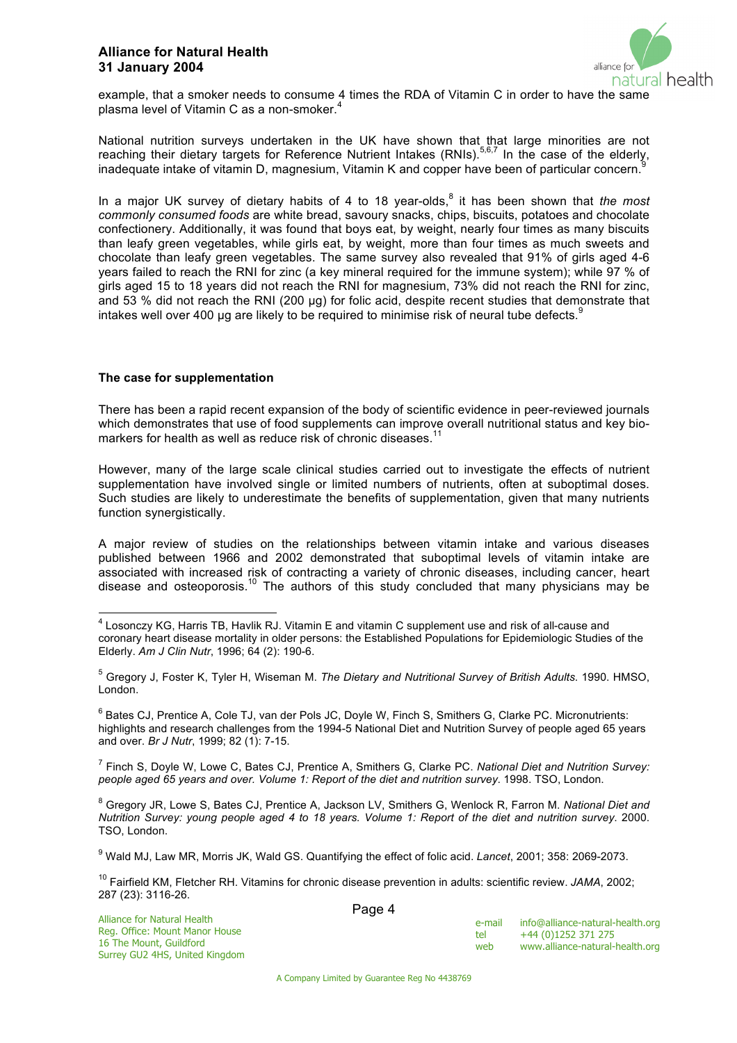### **Alliance for Natural Health 31 January 2004**



example, that a smoker needs to consume 4 times the RDA of Vitamin C in order to have the same plasma level of Vitamin C as a non-smoker. $4$ 

National nutrition surveys undertaken in the UK have shown that that large minorities are not reaching their dietary targets for Reference Nutrient Intakes (RNIs).<sup>5,6,7</sup> In the case of the elderly, inadequate intake of vitamin D, magnesium, Vitamin K and copper have been of particular concern.<sup>9</sup>

In a major UK survey of dietary habits of 4 to 18 year-olds,<sup>8</sup> it has been shown that *the most commonly consumed foods* are white bread, savoury snacks, chips, biscuits, potatoes and chocolate confectionery. Additionally, it was found that boys eat, by weight, nearly four times as many biscuits than leafy green vegetables, while girls eat, by weight, more than four times as much sweets and chocolate than leafy green vegetables. The same survey also revealed that 91% of girls aged 4-6 years failed to reach the RNI for zinc (a key mineral required for the immune system); while 97 % of girls aged 15 to 18 years did not reach the RNI for magnesium, 73% did not reach the RNI for zinc, and 53 % did not reach the RNI (200 µg) for folic acid, despite recent studies that demonstrate that intakes well over 400 µg are likely to be required to minimise risk of neural tube defects.  $9$ 

#### **The case for supplementation**

There has been a rapid recent expansion of the body of scientific evidence in peer-reviewed journals which demonstrates that use of food supplements can improve overall nutritional status and key biomarkers for health as well as reduce risk of chronic diseases.<sup>11</sup>

However, many of the large scale clinical studies carried out to investigate the effects of nutrient supplementation have involved single or limited numbers of nutrients, often at suboptimal doses. Such studies are likely to underestimate the benefits of supplementation, given that many nutrients function synergistically.

A major review of studies on the relationships between vitamin intake and various diseases published between 1966 and 2002 demonstrated that suboptimal levels of vitamin intake are associated with increased risk of contracting a variety of chronic diseases, including cancer, heart disease and osteoporosis.<sup>10</sup> The authors of this study concluded that many physicians may be

 $^6$  Bates CJ, Prentice A, Cole TJ, van der Pols JC, Doyle W, Finch S, Smithers G, Clarke PC. Micronutrients: highlights and research challenges from the 1994-5 National Diet and Nutrition Survey of people aged 65 years and over. *Br J Nutr*, 1999; 82 (1): 7-15.

7 Finch S, Doyle W, Lowe C, Bates CJ, Prentice A, Smithers G, Clarke PC. *National Diet and Nutrition Survey: people aged 65 years and over. Volume 1: Report of the diet and nutrition survey*. 1998. TSO, London.

8 Gregory JR, Lowe S, Bates CJ, Prentice A, Jackson LV, Smithers G, Wenlock R, Farron M. *National Diet and Nutrition Survey: young people aged 4 to 18 years. Volume 1: Report of the diet and nutrition survey*. 2000. TSO, London.

9 Wald MJ, Law MR, Morris JK, Wald GS. Quantifying the effect of folic acid. *Lancet*, 2001; 358: 2069-2073.

10 Fairfield KM, Fletcher RH. Vitamins for chronic disease prevention in adults: scientific review. *JAMA*, 2002; 287 (23): 3116-26.

| e-mail | info@alliance-natural-health.org |
|--------|----------------------------------|
| tel    | +44 (0)1252 371 275              |
| web    | www.alliance-natural-health.org  |

A Company Limited by Guarantee Reg No 4438769

4 Losonczy KG, Harris TB, Havlik RJ. Vitamin E and vitamin C supplement use and risk of all-cause and coronary heart disease mortality in older persons: the Established Populations for Epidemiologic Studies of the Elderly. *Am J Clin Nutr*, 1996; 64 (2): 190-6.

<sup>5</sup> Gregory J, Foster K, Tyler H, Wiseman M. *The Dietary and Nutritional Survey of British Adults*. 1990. HMSO, London.